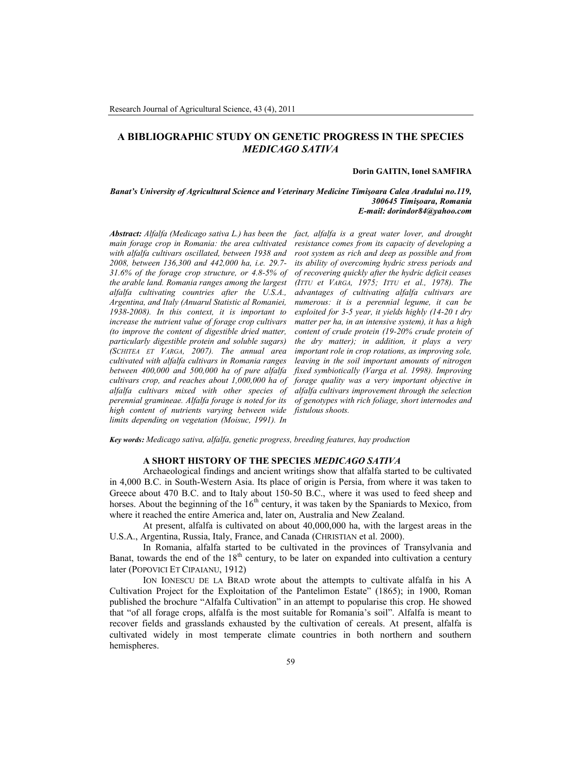# **A BIBLIOGRAPHIC STUDY ON GENETIC PROGRESS IN THE SPECIES** *MEDICAGO SATIVA*

## **Dorin GAITIN, Ionel SAMFIRA**

#### *Banat's University of Agricultural Science and Veterinary Medicine Timişoara Calea Aradului no.119, 300645 Timişoara, Romania E-mail: dorindor84@yahoo.com*

*main forage crop in Romania: the area cultivated with alfalfa cultivars oscillated, between 1938 and 2008, between 136,300 and 442,000 ha, i.e. 29.7- 31.6% of the forage crop structure, or 4.8-5% of the arable land. Romania ranges among the largest alfalfa cultivating countries after the U.S.A., Argentina, and Italy (Anuarul Statistic al Romaniei, 1938-2008). In this context, it is important to increase the nutrient value of forage crop cultivars (to improve the content of digestible dried matter, particularly digestible protein and soluble sugars) (SCHITEA ET VARGA, 2007). The annual area cultivated with alfalfa cultivars in Romania ranges between 400,000 and 500,000 ha of pure alfalfa cultivars crop, and reaches about 1,000,000 ha of alfalfa cultivars mixed with other species of perennial gramineae. Alfalfa forage is noted for its high content of nutrients varying between wide limits depending on vegetation (Moisuc, 1991). In*

*Abstract: Alfalfa (Medicago sativa L.) has been the fact, alfalfa is a great water lover, and drought resistance comes from its capacity of developing a root system as rich and deep as possible and from its ability of overcoming hydric stress periods and of recovering quickly after the hydric deficit ceases (ITTU et VARGA, 1975; ITTU et al., 1978). The advantages of cultivating alfalfa cultivars are numerous: it is a perennial legume, it can be exploited for 3-5 year, it yields highly (14-20 t dry matter per ha, in an intensive system), it has a high content of crude protein (19-20% crude protein of the dry matter); in addition, it plays a very important role in crop rotations, as improving sole, leaving in the soil important amounts of nitrogen fixed symbiotically (Varga et al. 1998). Improving forage quality was a very important objective in alfalfa cultivars improvement through the selection of genotypes with rich foliage, short internodes and fistulous shoots.*

*Key words: Medicago sativa, alfalfa, genetic progress, breeding features, hay production*

### **A SHORT HISTORY OF THE SPECIES** *MEDICAGO SATIVA*

Archaeological findings and ancient writings show that alfalfa started to be cultivated in 4,000 B.C. in South-Western Asia. Its place of origin is Persia, from where it was taken to Greece about 470 B.C. and to Italy about 150-50 B.C., where it was used to feed sheep and horses. About the beginning of the  $16<sup>th</sup>$  century, it was taken by the Spaniards to Mexico, from where it reached the entire America and, later on, Australia and New Zealand.

At present, alfalfa is cultivated on about 40,000,000 ha, with the largest areas in the U.S.A., Argentina, Russia, Italy, France, and Canada (CHRISTIAN et al. 2000).

In Romania, alfalfa started to be cultivated in the provinces of Transylvania and Banat, towards the end of the  $18<sup>th</sup>$  century, to be later on expanded into cultivation a century later (POPOVICI ET CIPAIANU, 1912)

ION IONESCU DE LA BRAD wrote about the attempts to cultivate alfalfa in his A Cultivation Project for the Exploitation of the Pantelimon Estate" (1865); in 1900, Roman published the brochure "Alfalfa Cultivation" in an attempt to popularise this crop. He showed that "of all forage crops, alfalfa is the most suitable for Romania's soil". Alfalfa is meant to recover fields and grasslands exhausted by the cultivation of cereals. At present, alfalfa is cultivated widely in most temperate climate countries in both northern and southern hemispheres.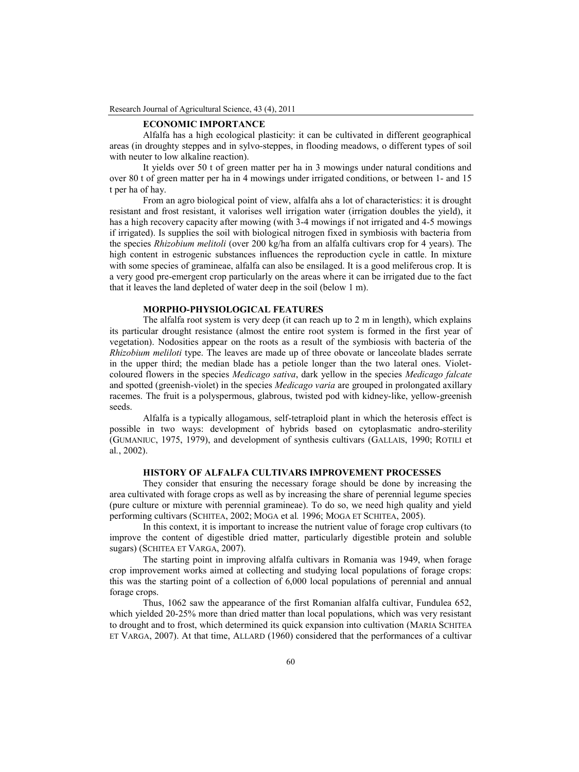# **ECONOMIC IMPORTANCE**

Alfalfa has a high ecological plasticity: it can be cultivated in different geographical areas (in droughty steppes and in sylvo-steppes, in flooding meadows, o different types of soil with neuter to low alkaline reaction).

It yields over 50 t of green matter per ha in 3 mowings under natural conditions and over 80 t of green matter per ha in 4 mowings under irrigated conditions, or between 1- and 15 t per ha of hay.

From an agro biological point of view, alfalfa ahs a lot of characteristics: it is drought resistant and frost resistant, it valorises well irrigation water (irrigation doubles the yield), it has a high recovery capacity after mowing (with 3-4 mowings if not irrigated and 4-5 mowings if irrigated). Is supplies the soil with biological nitrogen fixed in symbiosis with bacteria from the species *Rhizobium melitoli* (over 200 kg/ha from an alfalfa cultivars crop for 4 years). The high content in estrogenic substances influences the reproduction cycle in cattle. In mixture with some species of gramineae, alfalfa can also be ensilaged. It is a good meliferous crop. It is a very good pre-emergent crop particularly on the areas where it can be irrigated due to the fact that it leaves the land depleted of water deep in the soil (below 1 m).

## **MORPHO-PHYSIOLOGICAL FEATURES**

The alfalfa root system is very deep (it can reach up to 2 m in length), which explains its particular drought resistance (almost the entire root system is formed in the first year of vegetation). Nodosities appear on the roots as a result of the symbiosis with bacteria of the *Rhizobium meliloti* type. The leaves are made up of three obovate or lanceolate blades serrate in the upper third; the median blade has a petiole longer than the two lateral ones. Violetcoloured flowers in the species *Medicago sativa*, dark yellow in the species *Medicago falcate* and spotted (greenish-violet) in the species *Medicago varia* are grouped in prolongated axillary racemes. The fruit is a polyspermous, glabrous, twisted pod with kidney-like, yellow-greenish seeds.

Alfalfa is a typically allogamous, self-tetraploid plant in which the heterosis effect is possible in two ways: development of hybrids based on cytoplasmatic andro-sterility (GUMANIUC, 1975, 1979), and development of synthesis cultivars (GALLAIS, 1990; ROTILI et al*.*, 2002).

## **HISTORY OF ALFALFA CULTIVARS IMPROVEMENT PROCESSES**

They consider that ensuring the necessary forage should be done by increasing the area cultivated with forage crops as well as by increasing the share of perennial legume species (pure culture or mixture with perennial gramineae). To do so, we need high quality and yield performing cultivars (SCHITEA, 2002; MOGA et al*.* 1996; MOGA ET SCHITEA, 2005).

In this context, it is important to increase the nutrient value of forage crop cultivars (to improve the content of digestible dried matter, particularly digestible protein and soluble sugars) (SCHITEA ET VARGA, 2007).

The starting point in improving alfalfa cultivars in Romania was 1949, when forage crop improvement works aimed at collecting and studying local populations of forage crops: this was the starting point of a collection of 6,000 local populations of perennial and annual forage crops.

Thus, 1062 saw the appearance of the first Romanian alfalfa cultivar, Fundulea 652, which yielded 20-25% more than dried matter than local populations, which was very resistant to drought and to frost, which determined its quick expansion into cultivation (MARIA SCHITEA ET VARGA, 2007). At that time, ALLARD (1960) considered that the performances of a cultivar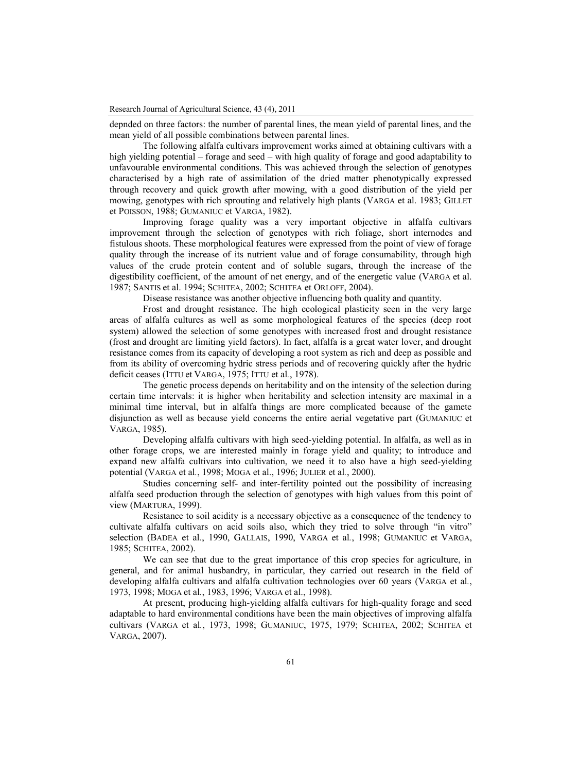depnded on three factors: the number of parental lines, the mean yield of parental lines, and the mean yield of all possible combinations between parental lines.

The following alfalfa cultivars improvement works aimed at obtaining cultivars with a high yielding potential – forage and seed – with high quality of forage and good adaptability to unfavourable environmental conditions. This was achieved through the selection of genotypes characterised by a high rate of assimilation of the dried matter phenotypically expressed through recovery and quick growth after mowing, with a good distribution of the yield per mowing, genotypes with rich sprouting and relatively high plants (VARGA et al. 1983; GILLET et POISSON, 1988; GUMANIUC et VARGA, 1982).

Improving forage quality was a very important objective in alfalfa cultivars improvement through the selection of genotypes with rich foliage, short internodes and fistulous shoots. These morphological features were expressed from the point of view of forage quality through the increase of its nutrient value and of forage consumability, through high values of the crude protein content and of soluble sugars, through the increase of the digestibility coefficient, of the amount of net energy, and of the energetic value (VARGA et al. 1987; SANTIS et al. 1994; SCHITEA, 2002; SCHITEA et ORLOFF, 2004).

Disease resistance was another objective influencing both quality and quantity.

Frost and drought resistance. The high ecological plasticity seen in the very large areas of alfalfa cultures as well as some morphological features of the species (deep root system) allowed the selection of some genotypes with increased frost and drought resistance (frost and drought are limiting yield factors). In fact, alfalfa is a great water lover, and drought resistance comes from its capacity of developing a root system as rich and deep as possible and from its ability of overcoming hydric stress periods and of recovering quickly after the hydric deficit ceases (ITTU et VARGA, 1975; ITTU et al*.*, 1978).

The genetic process depends on heritability and on the intensity of the selection during certain time intervals: it is higher when heritability and selection intensity are maximal in a minimal time interval, but in alfalfa things are more complicated because of the gamete disjunction as well as because yield concerns the entire aerial vegetative part (GUMANIUC et VARGA, 1985).

Developing alfalfa cultivars with high seed-yielding potential. In alfalfa, as well as in other forage crops, we are interested mainly in forage yield and quality; to introduce and expand new alfalfa cultivars into cultivation, we need it to also have a high seed-yielding potential (VARGA et al*.*, 1998; MOGA et al., 1996; JULIER et al*.*, 2000).

Studies concerning self- and inter-fertility pointed out the possibility of increasing alfalfa seed production through the selection of genotypes with high values from this point of view (MARTURA, 1999).

Resistance to soil acidity is a necessary objective as a consequence of the tendency to cultivate alfalfa cultivars on acid soils also, which they tried to solve through "in vitro" selection (BADEA et al*.*, 1990, GALLAIS, 1990, VARGA et al*.*, 1998; GUMANIUC et VARGA, 1985; SCHITEA, 2002).

We can see that due to the great importance of this crop species for agriculture, in general, and for animal husbandry, in particular, they carried out research in the field of developing alfalfa cultivars and alfalfa cultivation technologies over 60 years (VARGA et al*.*, 1973, 1998; MOGA et al*.*, 1983, 1996; VARGA et al., 1998).

At present, producing high-yielding alfalfa cultivars for high-quality forage and seed adaptable to hard environmental conditions have been the main objectives of improving alfalfa cultivars (VARGA et al*.*, 1973, 1998; GUMANIUC, 1975, 1979; SCHITEA, 2002; SCHITEA et VARGA, 2007).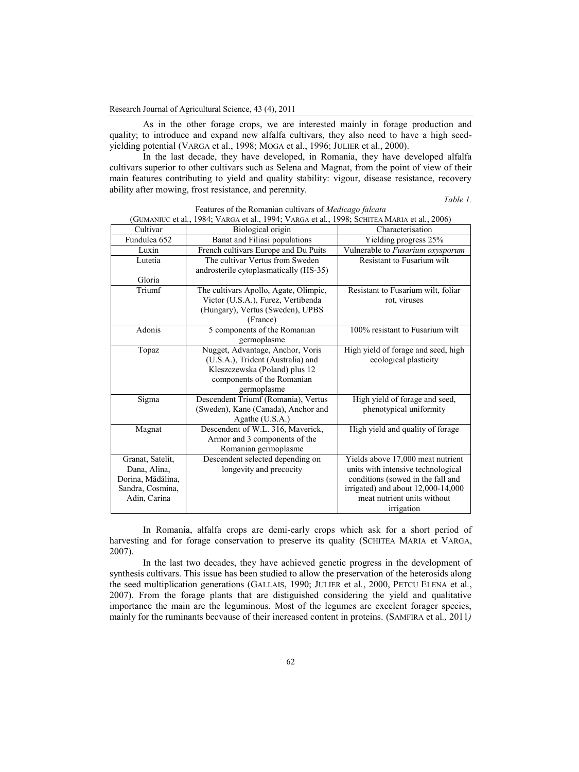As in the other forage crops, we are interested mainly in forage production and quality; to introduce and expand new alfalfa cultivars, they also need to have a high seedyielding potential (VARGA et al., 1998; MOGA et al., 1996; JULIER et al., 2000).

In the last decade, they have developed, in Romania, they have developed alfalfa cultivars superior to other cultivars such as Selena and Magnat, from the point of view of their main features contributing to yield and quality stability: vigour, disease resistance, recovery ability after mowing, frost resistance, and perennity.

*Table 1.*

| (OUMANIUC EL al., 1904, VAROA EL al., 1994, VAROA EL al., 1990, SCHITEA MARIA EL al., 2000) |                                                                                                                                                     |                                                                                                                                                                                                 |
|---------------------------------------------------------------------------------------------|-----------------------------------------------------------------------------------------------------------------------------------------------------|-------------------------------------------------------------------------------------------------------------------------------------------------------------------------------------------------|
| Cultivar                                                                                    | Biological origin                                                                                                                                   | Characterisation                                                                                                                                                                                |
| Fundulea 652                                                                                | Banat and Filiasi populations                                                                                                                       | Yielding progress 25%                                                                                                                                                                           |
| Luxin                                                                                       | French cultivars Europe and Du Puits                                                                                                                | Vulnerable to Fusarium oxysporum                                                                                                                                                                |
| Lutetia                                                                                     | The cultivar Vertus from Sweden<br>androsterile cytoplasmatically (HS-35)                                                                           | Resistant to Fusarium wilt                                                                                                                                                                      |
| Gloria                                                                                      |                                                                                                                                                     |                                                                                                                                                                                                 |
| Triumf                                                                                      | The cultivars Apollo, Agate, Olimpic,<br>Victor (U.S.A.), Furez, Vertibenda<br>(Hungary), Vertus (Sweden), UPBS<br>(France)                         | Resistant to Fusarium wilt, foliar<br>rot, viruses                                                                                                                                              |
| Adonis                                                                                      | 5 components of the Romanian<br>germoplasme                                                                                                         | 100% resistant to Fusarium wilt                                                                                                                                                                 |
| Topaz                                                                                       | Nugget, Advantage, Anchor, Voris<br>(U.S.A.), Trident (Australia) and<br>Kleszczewska (Poland) plus 12<br>components of the Romanian<br>germoplasme | High yield of forage and seed, high<br>ecological plasticity                                                                                                                                    |
| Sigma                                                                                       | Descendent Triumf (Romania), Vertus<br>(Sweden), Kane (Canada), Anchor and<br>Agathe (U.S.A.)                                                       | High yield of forage and seed,<br>phenotypical uniformity                                                                                                                                       |
| Magnat                                                                                      | Descendent of W.L. 316, Maverick,<br>Armor and 3 components of the<br>Romanian germoplasme                                                          | High yield and quality of forage                                                                                                                                                                |
| Granat, Satelit,<br>Dana, Alina,<br>Dorina, Mădălina,<br>Sandra, Cosmina,<br>Adin, Carina   | Descendent selected depending on<br>longevity and precocity                                                                                         | Yields above 17,000 meat nutrient<br>units with intensive technological<br>conditions (sowed in the fall and<br>irrigated) and about 12,000-14,000<br>meat nutrient units without<br>irrigation |

Features of the Romanian cultivars of *Medicago falcata* (GUMANIUC et al*.*, 1984; VARGA et al*.*, 1994; VARGA et al*.*, 1998; SCHITEA MARIA et al*.*, 2006)

In Romania, alfalfa crops are demi-early crops which ask for a short period of harvesting and for forage conservation to preserve its quality (SCHITEA MARIA et VARGA, 2007).

In the last two decades, they have achieved genetic progress in the development of synthesis cultivars. This issue has been studied to allow the preservation of the heterosids along the seed multiplication generations (GALLAIS, 1990; JULIER et al*.*, 2000, PETCU ELENA et al*.*, 2007). From the forage plants that are distiguished considering the yield and qualitative importance the main are the leguminous. Most of the legumes are excelent forager species, mainly for the ruminants becvause of their increased content in proteins. (SAMFIRA et al*.,* 2011*)*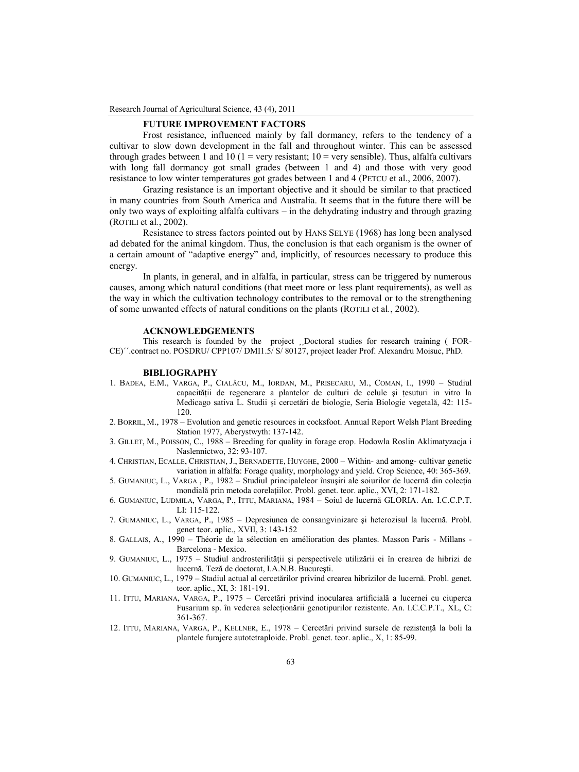Research Journal of Agricultural Science, 43 (4), 2011

## **FUTURE IMPROVEMENT FACTORS**

Frost resistance, influenced mainly by fall dormancy, refers to the tendency of a cultivar to slow down development in the fall and throughout winter. This can be assessed through grades between 1 and 10 ( $1 =$  very resistant;  $10 =$  very sensible). Thus, alfalfa cultivars with long fall dormancy got small grades (between 1 and 4) and those with very good resistance to low winter temperatures got grades between 1 and 4 (PETCU et al., 2006, 2007).

Grazing resistance is an important objective and it should be similar to that practiced in many countries from South America and Australia. It seems that in the future there will be only two ways of exploiting alfalfa cultivars – in the dehydrating industry and through grazing (ROTILI et al*.*, 2002).

Resistance to stress factors pointed out by HANS SELYE (1968) has long been analysed ad debated for the animal kingdom. Thus, the conclusion is that each organism is the owner of a certain amount of "adaptive energy" and, implicitly, of resources necessary to produce this energy.

In plants, in general, and in alfalfa, in particular, stress can be triggered by numerous causes, among which natural conditions (that meet more or less plant requirements), as well as the way in which the cultivation technology contributes to the removal or to the strengthening of some unwanted effects of natural conditions on the plants (ROTILI et al*.*, 2002).

#### **ACKNOWLEDGEMENTS**

This research is founded by the project ¸¸Doctoral studies for research training ( FOR-CE)´´.contract no. POSDRU/ CPP107/ DMI1.5/ S/ 80127, project leader Prof. Alexandru Moisuc, PhD.

### **BIBLIOGRAPHY**

- 1. BADEA, E.M., VARGA, P., CIALÂCU, M., IORDAN, M., PRISECARU, M., COMAN, I., 1990 Studiul capacităţii de regenerare a plantelor de culturi de celule şi ţesuturi in vitro la Medicago sativa L. Studii şi cercetări de biologie, Seria Biologie vegetală, 42: 115- 120.
- 2. BORRIL, M., 1978 Evolution and genetic resources in cocksfoot. Annual Report Welsh Plant Breeding Station 1977, Aberystwyth: 137-142.
- 3. GILLET, M., POISSON, C., 1988 Breeding for quality in forage crop. Hodowla Roslin Aklimatyzacja i Naslennictwo, 32: 93-107.
- 4. CHRISTIAN, ECALLE, CHRISTIAN, J., BERNADETTE, HUYGHE, 2000 Within- and among- cultivar genetic variation in alfalfa: Forage quality, morphology and yield. Crop Science, 40: 365-369.
- 5. GUMANIUC, L., VARGA , P., 1982 Studiul principaleleor însuşiri ale soiurilor de lucernă din colecţia mondială prin metoda corelaţiilor. Probl. genet. teor. aplic., XVI, 2: 171-182.
- 6. GUMANIUC, LUDMILA, VARGA, P., ITTU, MARIANA, 1984 Soiul de lucernă GLORIA. An. I.C.C.P.T. LI: 115-122.
- 7. GUMANIUC, L., VARGA, P., 1985 Depresiunea de consangvinizare şi heterozisul la lucernă. Probl. genet teor. aplic., XVII, 3: 143-152
- 8. GALLAIS, A., 1990 Théorie de la sélection en amélioration des plantes. Masson Paris Millans Barcelona - Mexico.
- 9. GUMANIUC, L., 1975 Studiul androsterilității și perspectivele utilizării ei în crearea de hibrizi de lucernă. Teză de doctorat, I.A.N.B. Bucureşti.
- 10. GUMANIUC, L., 1979 Stadiul actual al cercetărilor privind crearea hibrizilor de lucernă. Probl. genet. teor. aplic., XI, 3: 181-191.
- 11. ITTU, MARIANA, VARGA, P., 1975 Cercetări privind inocularea artificială a lucernei cu ciuperca Fusarium sp. în vederea selectionării genotipurilor rezistente. An. I.C.C.P.T., XL, C: 361-367.
- 12. ITTU, MARIANA, VARGA, P., KELLNER, E., 1978 Cercetări privind sursele de rezistență la boli la plantele furajere autotetraploide. Probl. genet. teor. aplic., X, 1: 85-99.